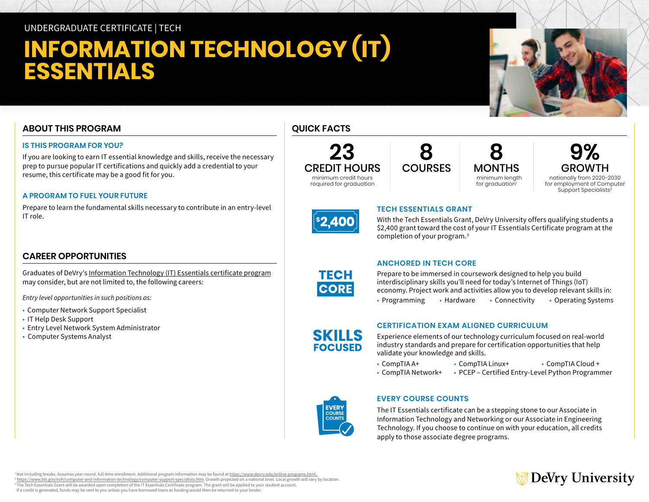# UNDERGRADUATE CERTIFICATE | TECH

# **INFORMATION TECHNOLOGY (IT) ESSENTIALS**

# **ABOUT THIS PROGRAM**

### **IS THIS PROGRAM FOR YOU?**

If you are looking to earn IT essential knowledge and skills, receive the necessary prep to pursue popular IT certifications and quickly add a credential to your resume, this certificate may be a good fit for you.

### **A PROGRAM TO FUEL YOUR FUTURE**

Prepare to learn the fundamental skills necessary to contribute in an entry-level IT role.

## **CAREER OPPORTUNITIES**

Graduates of DeVry's [Information Technology \(IT\) Essentials certificate program](https://www.devry.edu/online-programs/undergraduate-certificates/it-essentials.html) may consider, but are not limited to, the following careers:

*Entry level opportunities in such positions as:*

- Computer Network Support Specialist
- IT Help Desk Support
- Entry Level Network System Administrator
- Computer Systems Analyst

# **QUICK FACTS**





**8 MONTHS**  minimum length for graduation<sup>1</sup>

**9% GROWTH** nationally from 2020-2030 for employment of Computer

Support Specialists<sup>2</sup>



**TECH CORE** 

**SKILLS FOCUSED** 

### **TECH ESSENTIALS GRANT**

With the Tech Essentials Grant, DeVry University offers qualifying students a \$2,400 grant toward the cost of your IT Essentials Certificate program at the completion of your program.3

### **ANCHORED IN TECH CORE**

Prepare to be immersed in coursework designed to help you build interdisciplinary skills you'll need for today's Internet of Things (IoT) economy. Project work and activities allow you to develop relevant skills in: • Programming • Hardware • Connectivity • Operating Systems

### **CERTIFICATION EXAM ALIGNED CURRICULUM**

Experience elements of our technology curriculum focused on real-world industry standards and prepare for certification opportunities that help validate your knowledge and skills.

- CompTIA A+ CompTIA Linux+ CompTIA Cloud +
- CompTIA Network+ PCEP Certified Entry-Level Python Programmer



### **EVERY COURSE COUNTS**

The IT Essentials certificate can be a stepping stone to our Associate in Information Technology and Networking or our Associate in Engineering Technology. If you choose to continue on with your education, all credits apply to those associate degree programs.

# DeVry University